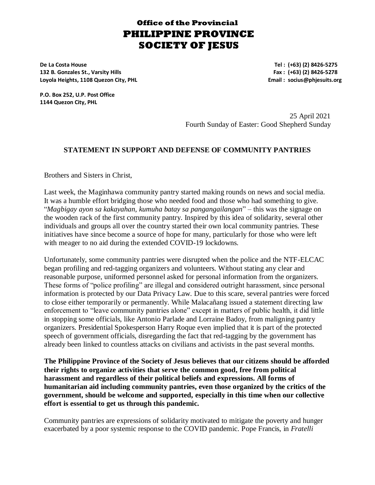## **Office of the Provincial PHILIPPINE PROVINCE SOCIETY OF JESUS**

**De La Costa House Tel : (+63) (2) 8426-5275 132 B. Gonzales St., Varsity Hills Fax : (+63) (2) 8426-5278 Loyola Heights, 1108 Quezon City, PHL Email : socius@phjesuits.org**

**P.O. Box 252, U.P. Post Office 1144 Quezon City, PHL**

> 25 April 2021 Fourth Sunday of Easter: Good Shepherd Sunday

## **STATEMENT IN SUPPORT AND DEFENSE OF COMMUNITY PANTRIES**

Brothers and Sisters in Christ,

Last week, the Maginhawa community pantry started making rounds on news and social media. It was a humble effort bridging those who needed food and those who had something to give. "*Magbigay ayon sa kakayahan, kumuha batay sa pangangailangan*" – this was the signage on the wooden rack of the first community pantry. Inspired by this idea of solidarity, several other individuals and groups all over the country started their own local community pantries. These initiatives have since become a source of hope for many, particularly for those who were left with meager to no aid during the extended COVID-19 lockdowns.

Unfortunately, some community pantries were disrupted when the police and the NTF-ELCAC began profiling and red-tagging organizers and volunteers. Without stating any clear and reasonable purpose, uniformed personnel asked for personal information from the organizers. These forms of "police profiling" are illegal and considered outright harassment, since personal information is protected by our Data Privacy Law. Due to this scare, several pantries were forced to close either temporarily or permanently. While Malacañang issued a statement directing law enforcement to "leave community pantries alone" except in matters of public health, it did little in stopping some officials, like Antonio Parlade and Lorraine Badoy, from maligning pantry organizers. Presidential Spokesperson Harry Roque even implied that it is part of the protected speech of government officials, disregarding the fact that red-tagging by the government has already been linked to countless attacks on civilians and activists in the past several months.

**The Philippine Province of the Society of Jesus believes that our citizens should be afforded their rights to organize activities that serve the common good, free from political harassment and regardless of their political beliefs and expressions. All forms of humanitarian aid including community pantries, even those organized by the critics of the government, should be welcome and supported, especially in this time when our collective effort is essential to get us through this pandemic.**

Community pantries are expressions of solidarity motivated to mitigate the poverty and hunger exacerbated by a poor systemic response to the COVID pandemic. Pope Francis, in *Fratelli*